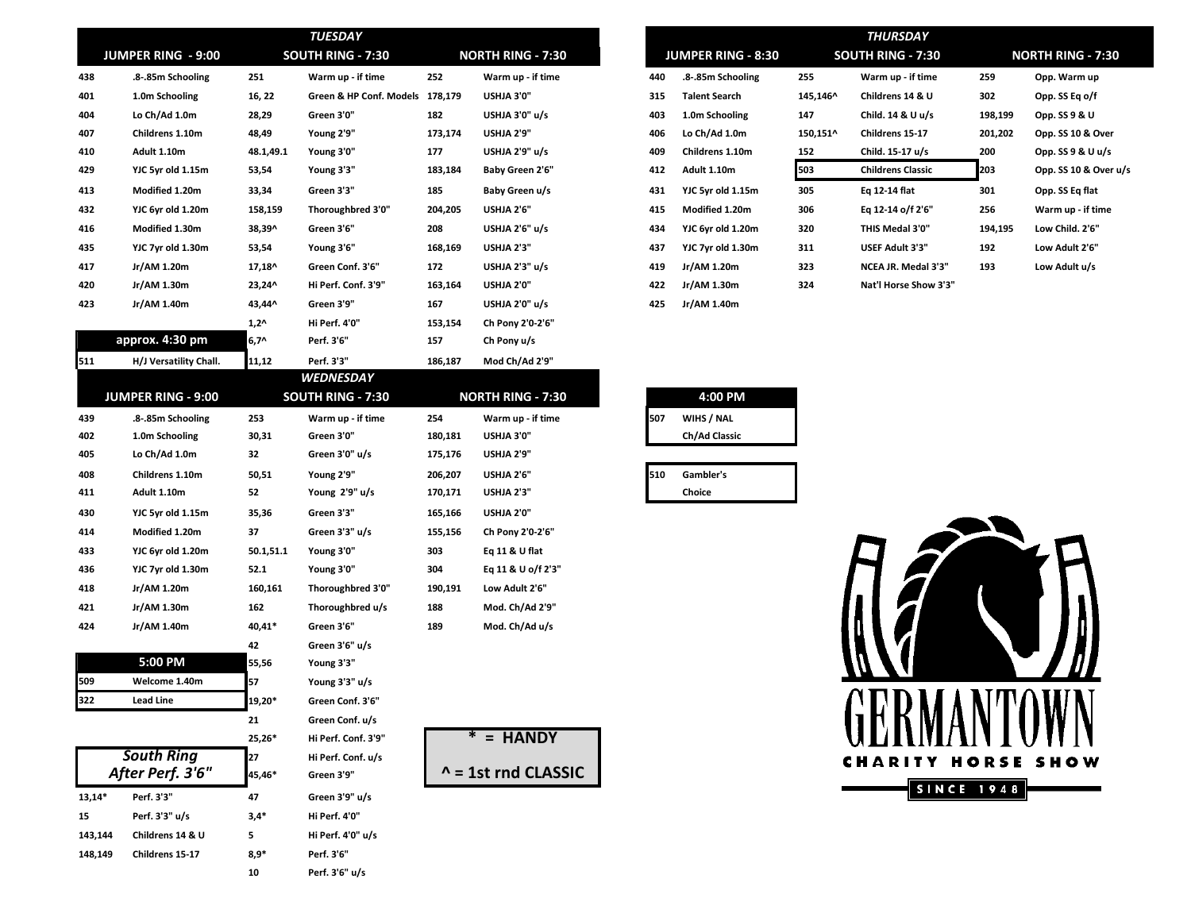|          | JUMPER RING - 9:00        |             | <b>TUESDAY</b><br>SOUTH RING - 7:30 |         | <b>NORTH RING - 7:30</b>   |     | <b>JUMPER RING - 8:30</b> |          | <b>THURSDAY</b><br><b>SOUTH RING - 7:30</b> |                   | <b>NORTH RING - 7:30</b> |
|----------|---------------------------|-------------|-------------------------------------|---------|----------------------------|-----|---------------------------|----------|---------------------------------------------|-------------------|--------------------------|
| 438      | .8-.85m Schooling         | 251         | Warm up - if time                   | 252     | Warm up - if time          | 440 | .8-.85m Schooling         | 255      | Warm up - if time                           | 259               | Opp. Warm up             |
| 401      | 1.0m Schooling            | 16, 22      | Green & HP Conf. Models 178,179     |         | USHJA 3'0"                 | 315 | <b>Talent Search</b>      | 145,146^ | Childrens 14 & U                            | 302               | Opp. SS Eq o/f           |
| 404      | Lo Ch/Ad 1.0m             | 28,29       | Green 3'0"                          | 182     | USHJA 3'0" u/s             | 403 | 1.0m Schooling            | 147      | Child. 14 & U u/s                           | 198,199           | Opp. SS 9 & U            |
| 407      | Childrens 1.10m           | 48,49       | Young 2'9"                          | 173,174 | USHJA 2'9"                 | 406 | Lo Ch/Ad 1.0m             | 150,151^ | Childrens 15-17                             | 201,202           | Opp. SS 10 & Over        |
| 410      | Adult 1.10m               | 48.1,49.1   | Young 3'0"                          | 177     | USHJA 2'9" u/s             | 409 | Childrens 1.10m           | 152      | Child. 15-17 u/s                            | 200               | Opp. SS 9 & U u/s        |
| 429      | YJC 5yr old 1.15m         | 53,54       | Young 3'3"                          | 183,184 | Baby Green 2'6"            | 412 | Adult 1.10m               | 503      | <b>Childrens Classic</b>                    | 203               | Opp. SS 10 & Over u/s    |
| 413      | Modified 1.20m            | 33,34       | Green 3'3"                          | 185     | Baby Green u/s             | 431 | YJC 5yr old 1.15m         | 305      | Eq 12-14 flat                               | 301               | Opp. SS Eq flat          |
| 432      | YJC 6yr old 1.20m         | 158,159     | Thoroughbred 3'0"                   | 204,205 | USHJA 2'6"                 | 415 | Modified 1.20m            | 306      | Eq 12-14 o/f 2'6"                           | 256               | Warm up - if time        |
| 416      | Modified 1.30m            | 38,39^      | Green 3'6"                          | 208     | USHJA 2'6" u/s             | 434 | YJC 6yr old 1.20m         | 320      | THIS Medal 3'0"                             | 194,195           | Low Child. 2'6"          |
| 435      | YJC 7yr old 1.30m         | 53,54       | Young 3'6"                          | 168,169 | USHJA 2'3"                 | 437 | YJC 7yr old 1.30m         | 311      | USEF Adult 3'3"                             | 192               | Low Adult 2'6"           |
| 417      | Jr/AM 1.20m               | 17,18^      | Green Conf. 3'6"                    | 172     | USHJA 2'3" u/s             | 419 | Jr/AM 1.20m               | 323      | NCEA JR. Medal 3'3"                         | 193               | Low Adult u/s            |
| 420      | Jr/AM 1.30m               | 23,24^      | Hi Perf. Conf. 3'9"                 | 163,164 | USHJA 2'0"                 | 422 | Jr/AM 1.30m               | 324      | Nat'l Horse Show 3'3"                       |                   |                          |
| 423      | Jr/AM 1.40m               | 43,44^      | Green 3'9"                          | 167     | USHJA 2'0" u/s             | 425 | Jr/AM 1.40m               |          |                                             |                   |                          |
|          |                           | $1,2^$      | Hi Perf. 4'0"                       | 153,154 | Ch Pony 2'0-2'6"           |     |                           |          |                                             |                   |                          |
|          | approx. 4:30 pm           | 6,7^        | Perf. 3'6"                          | 157     | Ch Pony u/s                |     |                           |          |                                             |                   |                          |
| 511      | H/J Versatility Chall.    | 11,12       | Perf. 3'3"                          | 186,187 | Mod Ch/Ad 2'9"             |     |                           |          |                                             |                   |                          |
|          |                           |             | <b>WEDNESDAY</b>                    |         |                            |     |                           |          |                                             |                   |                          |
|          | <b>JUMPER RING - 9:00</b> |             | <b>SOUTH RING - 7:30</b>            |         | <b>NORTH RING - 7:30</b>   |     | 4:00 PM                   |          |                                             |                   |                          |
| 439      | .8-.85m Schooling         | 253         | Warm up - if time                   | 254     | Warm up - if time          | 507 | WIHS / NAL                |          |                                             |                   |                          |
| 402      | 1.0m Schooling            | 30,31       | Green 3'0"                          | 180,181 | USHJA 3'0"                 |     | Ch/Ad Classic             |          |                                             |                   |                          |
| 405      | Lo Ch/Ad 1.0m             | 32          | Green 3'0" u/s                      | 175,176 | USHJA 2'9"                 |     |                           |          |                                             |                   |                          |
| 408      | Childrens 1.10m           | 50,51       | Young 2'9"                          | 206,207 | USHJA 2'6"                 | 510 | Gambler's                 |          |                                             |                   |                          |
| 411      | Adult 1.10m               | 52          | Young 2'9" u/s                      | 170,171 | USHJA 2'3"                 |     | Choice                    |          |                                             |                   |                          |
| 430      | YJC 5yr old 1.15m         | 35,36       | Green 3'3"                          | 165,166 | USHJA 2'0"                 |     |                           |          |                                             |                   |                          |
| 414      | Modified 1.20m            | 37          | Green 3'3" u/s                      | 155,156 | Ch Pony 2'0-2'6"           |     |                           |          |                                             |                   |                          |
| 433      | YJC 6yr old 1.20m         | 50.1,51.1   | Young 3'0"                          | 303     | Eq 11 & U flat             |     |                           |          |                                             |                   |                          |
| 436      | YJC 7yr old 1.30m         | 52.1        | Young 3'0"                          | 304     | Eq 11 & U o/f 2'3"         |     |                           |          |                                             |                   |                          |
| 418      | Jr/AM 1.20m               | 160,161     | Thoroughbred 3'0"                   | 190,191 | Low Adult 2'6"             |     |                           |          |                                             |                   |                          |
| 421      | Jr/AM 1.30m               | 162         | Thoroughbred u/s                    | 188     | Mod. Ch/Ad 2'9"            |     |                           |          |                                             |                   |                          |
| 424      | Jr/AM 1.40m               | 40,41*      | Green 3'6"                          | 189     | Mod. Ch/Ad u/s             |     |                           |          |                                             |                   |                          |
|          | 5:00 PM                   | 42<br>55,56 | Green 3'6" u/s                      |         |                            |     |                           |          |                                             |                   |                          |
| 509      | Welcome 1.40m             | 57          | Young 3'3"<br>Young 3'3" u/s        |         |                            |     |                           |          |                                             |                   |                          |
| 322      | <b>Lead Line</b>          | 19,20*      | Green Conf. 3'6"                    |         |                            |     |                           |          | AND LLA NINAWNI                             |                   |                          |
|          |                           | 21          | Green Conf. u/s                     |         |                            |     |                           |          |                                             |                   |                          |
|          |                           | 25,26*      | Hi Perf. Conf. 3'9"                 |         | $* =$ HANDY                |     |                           |          |                                             |                   |                          |
|          | <b>South Ring</b>         | 27          | Hi Perf. Conf. u/s                  |         |                            |     |                           |          |                                             |                   |                          |
|          | After Perf. 3'6"          | 45,46*      | Green 3'9"                          |         | $\wedge$ = 1st rnd CLASSIC |     |                           |          | <b>CHARITY HORSE SHOW</b>                   |                   |                          |
| $13,14*$ | Perf. 3'3"                | 47          | Green 3'9" u/s                      |         |                            |     |                           |          |                                             | <b>SINCE 1948</b> |                          |
| 15       | Perf. 3'3" u/s            | $3,4*$      | Hi Perf. 4'0"                       |         |                            |     |                           |          |                                             |                   |                          |
| 143,144  | Childrens 14 & U          | 5           | Hi Perf. 4'0" u/s                   |         |                            |     |                           |          |                                             |                   |                          |
| 148,149  | Childrens 15-17           | $8,9*$      | Perf. 3'6"                          |         |                            |     |                           |          |                                             |                   |                          |
|          |                           | 10          | Perf. 3'6" u/s                      |         |                            |     |                           |          |                                             |                   |                          |
|          |                           |             |                                     |         |                            |     |                           |          |                                             |                   |                          |

|     | THURSDAY                  |          |                          |         |                          |  |  |  |  |  |
|-----|---------------------------|----------|--------------------------|---------|--------------------------|--|--|--|--|--|
|     | <b>JUMPER RING - 8:30</b> |          | <b>SOUTH RING - 7:30</b> |         | <b>NORTH RING - 7:30</b> |  |  |  |  |  |
| ١40 | .8-.85m Schooling         | 255      | Warm up - if time        | 259     | Opp. Warm up             |  |  |  |  |  |
| 15  | <b>Talent Search</b>      | 145,146^ | Childrens 14 & U         | 302     | Opp. SS Eq o/f           |  |  |  |  |  |
| 103 | 1.0m Schooling            | 147      | Child. 14 & U u/s        | 198,199 | Opp. SS 9 & U            |  |  |  |  |  |
| 106 | Lo Ch/Ad 1.0m             | 150,151^ | Childrens 15-17          | 201,202 | Opp. SS 10 & Over        |  |  |  |  |  |
| IO9 | Childrens 1.10m           | 152      | Child. 15-17 u/s         | 200     | Opp. $SS 9 & U u/s$      |  |  |  |  |  |
| 112 | Adult 1.10m               | 503      | <b>Childrens Classic</b> | 203     | Opp. SS 10 & Over u/s    |  |  |  |  |  |
| 131 | YJC 5yr old 1.15m         | 305      | Eq 12-14 flat            | 301     | Opp. SS Eq flat          |  |  |  |  |  |
| ۱15 | Modified 1.20m            | 306      | Eq 12-14 o/f 2'6"        | 256     | Warm up - if time        |  |  |  |  |  |
| 134 | YJC 6yr old 1.20m         | 320      | THIS Medal 3'0"          | 194,195 | Low Child. 2'6"          |  |  |  |  |  |
| 137 | YJC 7yr old 1.30m         | 311      | <b>USEF Adult 3'3"</b>   | 192     | Low Adult 2'6"           |  |  |  |  |  |
| 19  | Jr/AM 1.20m               | 323      | NCEA JR. Medal 3'3"      | 193     | Low Adult u/s            |  |  |  |  |  |
| 122 | Jr/AM 1.30m               | 324      | Nat'l Horse Show 3'3"    |         |                          |  |  |  |  |  |
| ロミ  | $Ir/AM1$ 40m              |          |                          |         |                          |  |  |  |  |  |

|     | 4:00 PM       |
|-----|---------------|
| 607 | WIHS / NAL    |
|     | Ch/Ad Classic |
|     |               |

| 510 | Gambler's |  |  |  |  |  |
|-----|-----------|--|--|--|--|--|
|     | Choice    |  |  |  |  |  |